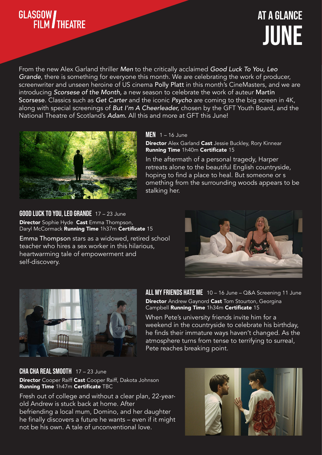

# JUNE At a Glance

From the new Alex Garland thriller *Men* to the critically acclaimed *Good Luck To You, Leo Grande*, there is something for everyone this month. We are celebrating the work of producer, screenwriter and unseen heroine of US cinema Polly Platt in this month's CineMasters, and we are introducing *Scorsese of the Month,* a new season to celebrate the work of auteur Martin Scorsese. Classics such as *Get Carter* and the iconic *Psycho* are coming to the big screen in 4K, along with special screenings of *But I'm A Cheerleader,* chosen by the GFT Youth Board, and the National Theatre of Scotland's *Adam.* All this and more at GFT this June!



#### $MEN$  1 – 16 June

Director Alex Garland Cast Jessie Buckley, Rory Kinnear Running Time 1h40m Certificate 15

In the aftermath of a personal tragedy, Harper retreats alone to the beautiful English countryside, hoping to find a place to heal. But someone or s omething from the surrounding woods appears to be stalking her.

**GOOD LUCK TO YOU, LEO GRANDE** 17 - 23 June **Director** Sophie Hyde **Cast** Emma Thompson, Daryl McCormack Running Time 1h37m Certificate 15

Emma Thompson stars as a widowed, retired school teacher who hires a sex worker in this hilarious, heartwarming tale of empowerment and self-discovery.





ALL MY FRIENDS HATE ME 10 - 16 June - Q&A Screening 11 June **Director** Andrew Gaynord Cast Tom Stourton, Georgina Campbell Running Time 1h34m Certificate 15

When Pete's university friends invite him for a weekend in the countryside to celebrate his birthday, he finds their immature ways haven't changed. As the atmosphere turns from tense to terrifying to surreal, Pete reaches breaking point.

CHA CHA REAL SMOOTH 17 - 23 June Director Cooper Raiff Cast Cooper Raiff, Dakota Johnson Running Time 1h47m Certificate TBC

Fresh out of college and without a clear plan, 22-yearold Andrew is stuck back at home. After befriending a local mum, Domino, and her daughter he finally discovers a future he wants – even if it might not be his own. A tale of unconventional love.